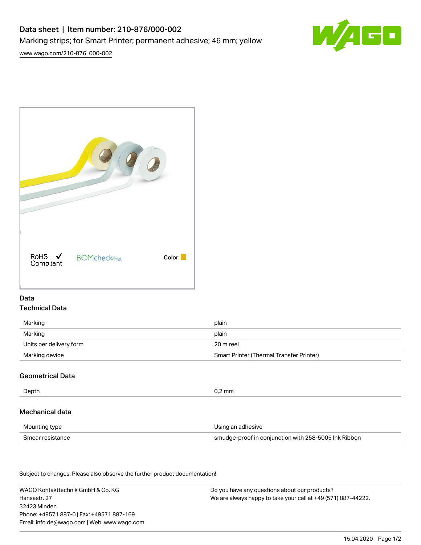# Data sheet | Item number: 210-876/000-002 Marking strips; for Smart Printer; permanent adhesive; 46 mm; yellow



[www.wago.com/210-876\\_000-002](http://www.wago.com/210-876_000-002)



### Data Technical Data

| Marking                 | plain                                    |
|-------------------------|------------------------------------------|
| Marking                 | plain                                    |
| Units per delivery form | 20 m reel                                |
| Marking device          | Smart Printer (Thermal Transfer Printer) |

# Geometrical Data

| Depth            | $0.2$ mm                                             |
|------------------|------------------------------------------------------|
| Mechanical data  |                                                      |
| Mounting type    | Using an adhesive                                    |
| Smear resistance | smudge-proof in conjunction with 258-5005 Ink Ribbon |

Subject to changes. Please also observe the further product documentation!

WAGO Kontakttechnik GmbH & Co. KG Hansastr. 27 32423 Minden Phone: +49571 887-0 | Fax: +49571 887-169 Email: info.de@wago.com | Web: www.wago.com Do you have any questions about our products? We are always happy to take your call at +49 (571) 887-44222.